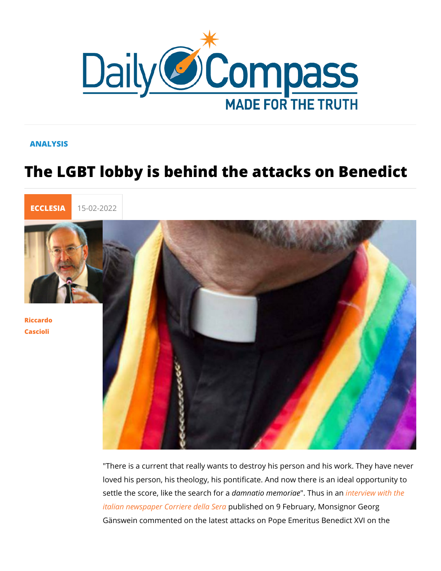## ANALYSIS

## The LGBT lobby is behind the attacks



[Riccar](/en/riccardo-cascioli)do [Casci](/en/riccardo-cascioli)oli

> "There is a current that really wants to destroy his person and loved his person, his theology, his pontificate. And now there settle the score, like the asmenatio for end on Tiha wes in the triew with the [italian newspaper Corr](https://www.corriere.it/esteri/22_febbraio_09/georg-ganswein-ratzinger-14f4c078-891e-11ec-9938-27d3dd3408d7.shtml)ieprueb bishled Soema 9 February, Monsignor Ge Gänswein commented on the latest attacks on Pope Emeritus B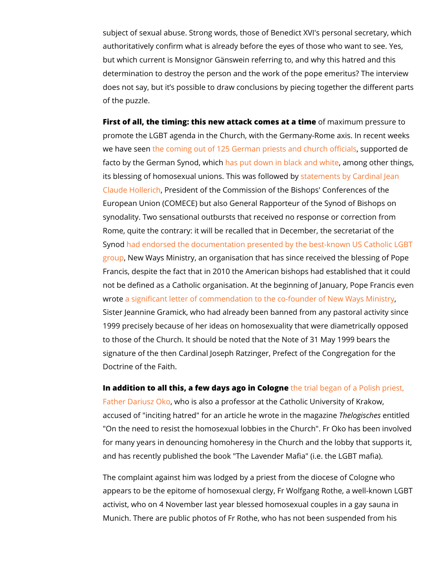subject of sexual abuse. Strong words, those of Benedict XVI's authoritatively confirm what is already before the eyes of thos but which current is Monsignor Gänswein referring to, and why determination to destroy the person and the work of the pope does not say, but it s possible to draw conclusions by piecing of the puzzle.

First of all, the timing: this new attack coofmmesaxaint namatiphreessure t promote the LGBT agenda in the Church, with the Germany-Rom we have staencoming out of 125 German priests asupopouted defi facto by the German Synapsed puwth dochwn in black annobawohiote her thing its blessing of homosexual unions. This two msen below eddabeyinal Je [Claude Hol](https://lanuovabq.it/it/hollerich-e-lomosessualita-quanti-errori-dal-cardinale-1)leRicessident of the Commission of the Bishops' Confe European Union (COMECE) but also General Rapporteur of the synodality. Two sensational outbursts that received no respon Rome, quite the contrary: it will be recalled that in December, Synod ad endorsed the documentation presented by the best-kn [grou](https://newdailycompass.com/en/lgbtq-lobby-has-already-triumphed-at-the-synod)pNew Ways Ministry, an organisation that has since received Francis, despite the fact that in 2010 the American bishops ha not be defined as a Catholic organisation. At the beginning of wrote significant letter of commendation to the co-founder of N Sister Jeannine Gramick, who had already been banned from a 1999 precisely because of her ideas on homosexuality that we to those of the Church. It should be noted that the Note of 31 signature of the then Cardinal Joseph Ratzinger, Prefect of th Doctrine of the Faith.

In addition to all this, a fewind as boughe trial began of a Polish prints [Father Dariu](https://www.corrispondenzaromana.it/difendiamo-il-prof-don-dariusz-oko-ingiustamente-processato-per-odio-alla-minoranza-omosessuale/)s zwho cis also a professor at the Catholic University accused of "inciting hatred" for an article heThwenlongeisienhtehistelendag "On the need to resist the homosexual lobbies in the Church". for many years in denouncing homoheresy in the Church and th and has recently published the book "The Lavender Mafia" (i.e.

The complaint against him was lodged by a priest from the dio appears to be the epitome of homosexual clergy, Fr Wolfgang activist, who on 4 November last year blessed homosexual cou Munich. There are public photos of Fr Rothe, who has not been